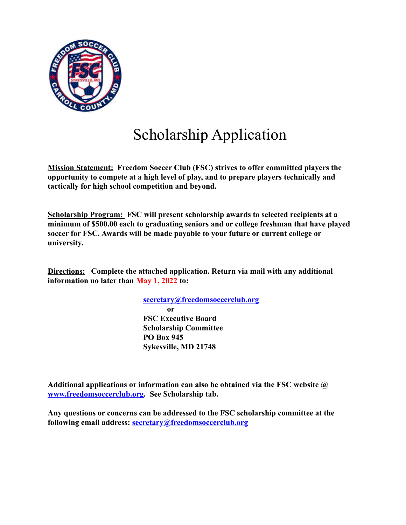

## Scholarship Application

**Mission Statement: Freedom Soccer Club (FSC) strives to offer committed players the opportunity to compete at a high level of play, and to prepare players technically and tactically for high school competition and beyond.**

**Scholarship Program: FSC will present scholarship awards to selected recipients at a minimum of \$500.00 each to graduating seniors and or college freshman that have played soccer for FSC. Awards will be made payable to your future or current college or university.**

**Directions: Complete the attached application. Return via mail with any additional information no later than May 1, 2022 to:**

> **secretary@freedomsoccerclub.org or FSC Executive Board Scholarship Committee PO Box 945 Sykesville, MD 21748**

**Additional applications or information can also be obtained via the FSC website @ www.freedomsoccerclub.org. See Scholarship tab.**

**Any questions or concerns can be addressed to the FSC scholarship committee at the following email address: secretary@freedomsoccerclub.org**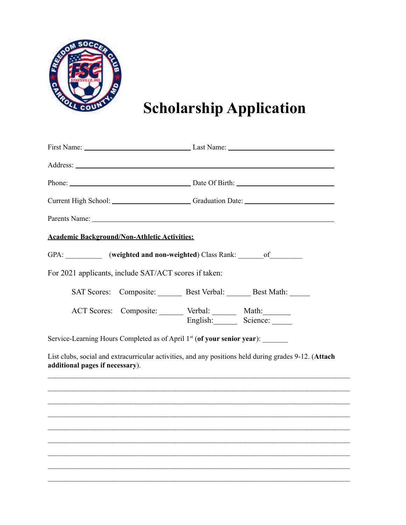

**Scholarship Application**

|                                                                                | Current High School: Current High School: Current High School: Current High School:                   |
|--------------------------------------------------------------------------------|-------------------------------------------------------------------------------------------------------|
|                                                                                |                                                                                                       |
| <b>Academic Background/Non-Athletic Activities:</b>                            |                                                                                                       |
| GPA: ___________ (weighted and non-weighted) Class Rank: _______ of ________   |                                                                                                       |
| For 2021 applicants, include SAT/ACT scores if taken:                          |                                                                                                       |
|                                                                                | SAT Scores: Composite: Best Verbal: Best Math:                                                        |
| ACT Scores: Composite: ______ Verbal: ______ Math: ______                      |                                                                                                       |
| Service-Learning Hours Completed as of April 1st (of your senior year): ______ |                                                                                                       |
| additional pages if necessary).                                                | List clubs, social and extracurricular activities, and any positions held during grades 9-12. (Attach |
|                                                                                |                                                                                                       |
|                                                                                |                                                                                                       |
|                                                                                |                                                                                                       |
|                                                                                |                                                                                                       |
|                                                                                |                                                                                                       |

 $\mathcal{L}_\mathcal{L} = \{ \mathcal{L}_\mathcal{L} = \{ \mathcal{L}_\mathcal{L} = \{ \mathcal{L}_\mathcal{L} = \{ \mathcal{L}_\mathcal{L} = \{ \mathcal{L}_\mathcal{L} = \{ \mathcal{L}_\mathcal{L} = \{ \mathcal{L}_\mathcal{L} = \{ \mathcal{L}_\mathcal{L} = \{ \mathcal{L}_\mathcal{L} = \{ \mathcal{L}_\mathcal{L} = \{ \mathcal{L}_\mathcal{L} = \{ \mathcal{L}_\mathcal{L} = \{ \mathcal{L}_\mathcal{L} = \{ \mathcal{L}_\mathcal{$